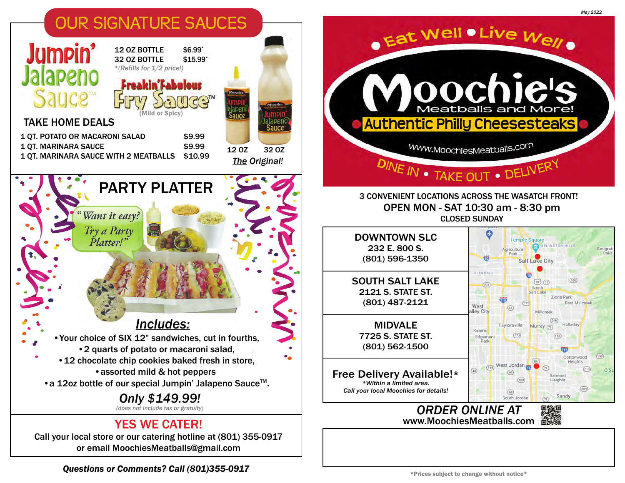

**Questions or Comments? Call (801)355-0917**  $\blacksquare$  \*Prices subject to change without notice\*